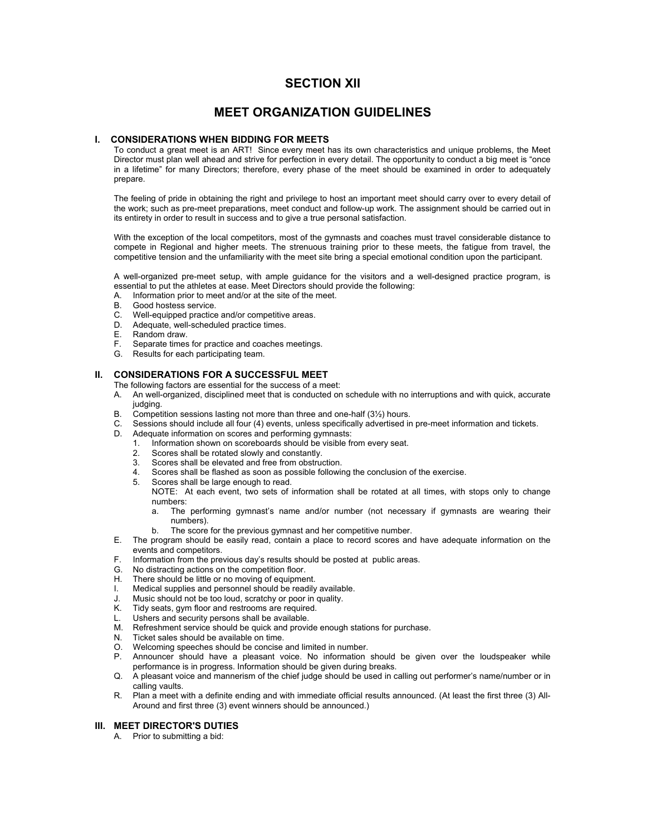### **SECTION XII**

### **MEET ORGANIZATION GUIDELINES**

### **I. CONSIDERATIONS WHEN BIDDING FOR MEETS**

To conduct a great meet is an ART! Since every meet has its own characteristics and unique problems, the Meet Director must plan well ahead and strive for perfection in every detail. The opportunity to conduct a big meet is "once in a lifetime" for many Directors; therefore, every phase of the meet should be examined in order to adequately prepare.

The feeling of pride in obtaining the right and privilege to host an important meet should carry over to every detail of the work; such as pre-meet preparations, meet conduct and follow-up work. The assignment should be carried out in its entirety in order to result in success and to give a true personal satisfaction.

With the exception of the local competitors, most of the gymnasts and coaches must travel considerable distance to compete in Regional and higher meets. The strenuous training prior to these meets, the fatigue from travel, the competitive tension and the unfamiliarity with the meet site bring a special emotional condition upon the participant.

A well-organized pre-meet setup, with ample guidance for the visitors and a well-designed practice program, is essential to put the athletes at ease. Meet Directors should provide the following:

- A. Information prior to meet and/or at the site of the meet.
- B. Good hostess service.
- C. Well-equipped practice and/or competitive areas.
- D. Adequate, well-scheduled practice times.
- E. Random draw.
- Separate times for practice and coaches meetings.
- F. Separate times for practice and coa<br>G. Results for each participating team.

### **II. CONSIDERATIONS FOR A SUCCESSFUL MEET**

The following factors are essential for the success of a meet:

- A. An well-organized, disciplined meet that is conducted on schedule with no interruptions and with quick, accurate judging.
- B. Competition sessions lasting not more than three and one-half (3½) hours.
- C. Sessions should include all four (4) events, unless specifically advertised in pre-meet information and tickets.
- D. Adequate information on scores and performing gymnasts:
	- 1. Information shown on scoreboards should be visible from every seat.
	- 2. Scores shall be rotated slowly and constantly.
	- 3. Scores shall be elevated and free from obstruction.
	- Scores shall be flashed as soon as possible following the conclusion of the exercise.
	- 5. Scores shall be large enough to read.
		- NOTE: At each event, two sets of information shall be rotated at all times, with stops only to change numbers:
		- a. The performing gymnast's name and/or number (not necessary if gymnasts are wearing their numbers).
		- b. The score for the previous gymnast and her competitive number.
- E. The program should be easily read, contain a place to record scores and have adequate information on the events and competitors.
- F. Information from the previous day's results should be posted at public areas.
- G. No distracting actions on the competition floor.
- H. There should be little or no moving of equipment.
- I. Medical supplies and personnel should be readily available.
- J. Music should not be too loud, scratchy or poor in quality.<br>K. Tidy seats, gym floor and restrooms are required.
- Tidy seats, gym floor and restrooms are required.
- L. Ushers and security persons shall be available.
- M. Refreshment service should be quick and provide enough stations for purchase.
- N. Ticket sales should be available on time.
- O. Welcoming speeches should be concise and limited in number.
- P. Announcer should have a pleasant voice. No information should be given over the loudspeaker while performance is in progress. Information should be given during breaks.
- Q. A pleasant voice and mannerism of the chief judge should be used in calling out performer's name/number or in calling vaults.
- R. Plan a meet with a definite ending and with immediate official results announced. (At least the first three (3) All-Around and first three (3) event winners should be announced.)

### **III. MEET DIRECTOR'S DUTIES**

A. Prior to submitting a bid: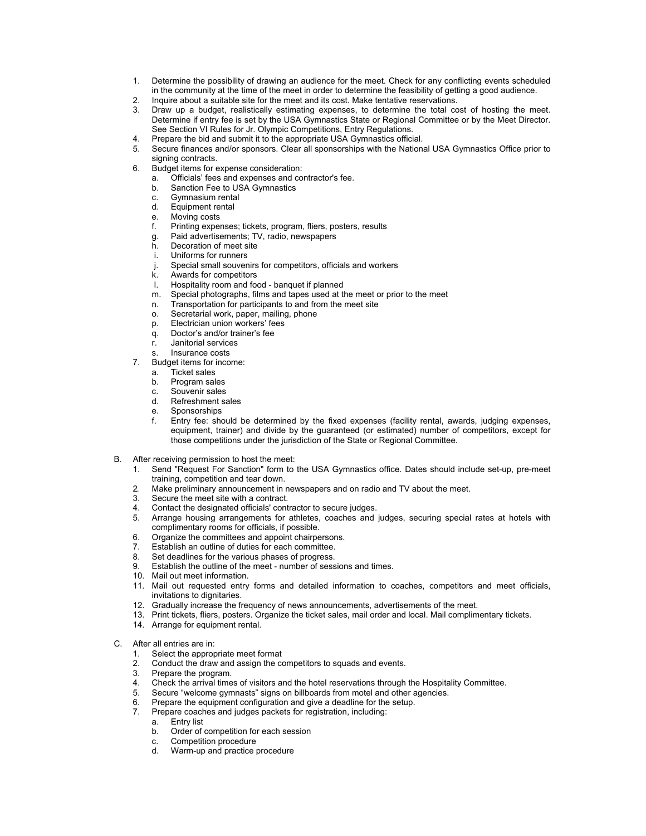- 1. Determine the possibility of drawing an audience for the meet. Check for any conflicting events scheduled in the community at the time of the meet in order to determine the feasibility of getting a good audience.
- 2. Inquire about a suitable site for the meet and its cost. Make tentative reservations.
- 3. Draw up a budget, realistically estimating expenses, to determine the total cost of hosting the meet. Determine if entry fee is set by the USA Gymnastics State or Regional Committee or by the Meet Director. See Section VI Rules for Jr. Olympic Competitions, Entry Regulations.
- 4. Prepare the bid and submit it to the appropriate USA Gymnastics official.
- 5. Secure finances and/or sponsors. Clear all sponsorships with the National USA Gymnastics Office prior to signing contracts.
- 6. Budget items for expense consideration:
	- a. Officials' fees and expenses and contractor's fee.
	- b. Sanction Fee to USA Gymnastics
	- c. Gymnasium rental<br>d. Equipment rental
	- Equipment rental
	- e. Moving costs
	- f. Printing expenses; tickets, program, fliers, posters, results
	- g. Paid advertisements; TV, radio, newspapers
	- Decoration of meet site
	- i. Uniforms for runners
	- j. Special small souvenirs for competitors, officials and workers
	- k. Awards for competitors<br>
	Hospitality room and for
	- Hospitality room and food banquet if planned
	- m. Special photographs, films and tapes used at the meet or prior to the meet
	- n. Transportation for participants to and from the meet site
	- o. Secretarial work, paper, mailing, phone<br>p. Electrician union workers' fees
	- Electrician union workers' fees
	- q. Doctor's and/or trainer's fee
	- r. Janitorial services
	- s. Insurance costs
- 7. Budget items for income:
	- a. Ticket sales
	- b. Program sales<br>c. Souvenir sales
	- Souvenir sales
	- d. Refreshment sales
	- e. Sponsorships
	- f. Entry fee: should be determined by the fixed expenses (facility rental, awards, judging expenses, equipment, trainer) and divide by the guaranteed (or estimated) number of competitors, except for those competitions under the jurisdiction of the State or Regional Committee.
- B. After receiving permission to host the meet:
	- 1. Send "Request For Sanction" form to the USA Gymnastics office. Dates should include set-up, pre-meet training, competition and tear down.
	- 2. Make preliminary announcement in newspapers and on radio and TV about the meet.<br>3. Secure the meet site with a contract
	- Secure the meet site with a contract.
	- 4. Contact the designated officials' contractor to secure judges.
	- 5. Arrange housing arrangements for athletes, coaches and judges, securing special rates at hotels with complimentary rooms for officials, if possible.
	- 6. Organize the committees and appoint chairpersons.
	- 7. Establish an outline of duties for each committee.
	- 8. Set deadlines for the various phases of progress.
	- 9. Establish the outline of the meet number of sessions and times.
	- 10. Mail out meet information.
	- 11. Mail out requested entry forms and detailed information to coaches, competitors and meet officials, invitations to dignitaries.
	- 12. Gradually increase the frequency of news announcements, advertisements of the meet.
	- 13. Print tickets, fliers, posters. Organize the ticket sales, mail order and local. Mail complimentary tickets.
	- 14. Arrange for equipment rental.
- C. After all entries are in:
	- 1. Select the appropriate meet format
	- 2. Conduct the draw and assign the competitors to squads and events.
	- 3. Prepare the program.
	- 4. Check the arrival times of visitors and the hotel reservations through the Hospitality Committee.
	- 5. Secure "welcome gymnasts" signs on billboards from motel and other agencies.
	- 6. Prepare the equipment configuration and give a deadline for the setup.
	- 7. Prepare coaches and judges packets for registration, including:
		- a. Entry list
		- b. Order of competition for each session
		- c. Competition procedure<br>d. Warm-up and practice
		- Warm-up and practice procedure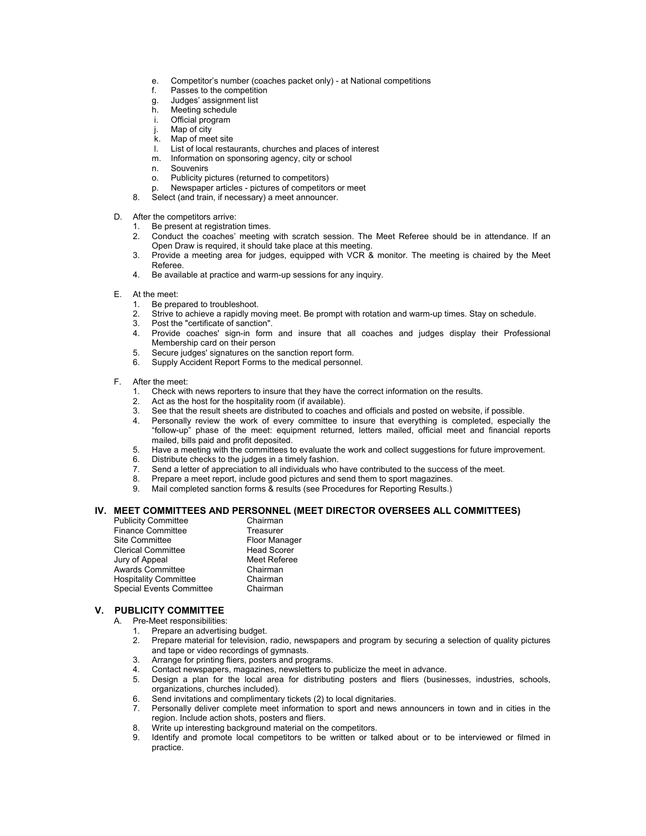- e. Competitor's number (coaches packet only) at National competitions
- Passes to the competition<br>Judges' assignment list
- g. Judges' assignment list
- h. Meeting schedule
- i. Official program
- j. Map of city<br>k. Map of mee
- Map of meet site
- l. List of local restaurants, churches and places of interest
- m. Information on sponsoring agency, city or school
- **Souvenirs**
- o. Publicity pictures (returned to competitors)
- Newspaper articles pictures of competitors or meet
- 8. Select (and train, if necessary) a meet announcer.
- D. After the competitors arrive:
	- 1. Be present at registration times.
	- 2. Conduct the coaches' meeting with scratch session. The Meet Referee should be in attendance. If an Open Draw is required, it should take place at this meeting.
	- 3. Provide a meeting area for judges, equipped with VCR & monitor. The meeting is chaired by the Meet Referee.
	- 4. Be available at practice and warm-up sessions for any inquiry.
- E. At the meet:
	- 1. Be prepared to troubleshoot.<br>2. Strive to achieve a rapidly mo
	- 2. Strive to achieve a rapidly moving meet. Be prompt with rotation and warm-up times. Stay on schedule.<br>3. Post the "certificate of sanction"
	- Post the "certificate of sanction".
	- 4. Provide coaches' sign-in form and insure that all coaches and judges display their Professional Membership card on their person
	- 5. Secure judges' signatures on the sanction report form.
	- 6. Supply Accident Report Forms to the medical personnel.
- F. After the meet:
	- 1. Check with news reporters to insure that they have the correct information on the results.<br>
	2. Act as the host for the hospitality room (if available).<br>
	3. See that the result sheets are distributed to coaches and offic
	- Act as the host for the hospitality room (if available).
	- See that the result sheets are distributed to coaches and officials and posted on website, if possible.
	- 4. Personally review the work of every committee to insure that everything is completed, especially the "follow-up" phase of the meet: equipment returned, letters mailed, official meet and financial reports mailed, bills paid and profit deposited.
	- 5. Have a meeting with the committees to evaluate the work and collect suggestions for future improvement.
	-
	- 6. Distribute checks to the judges in a timely fashion.<br>7. Send a letter of appreciation to all individuals who Send a letter of appreciation to all individuals who have contributed to the success of the meet.
	- 8. Prepare a meet report, include good pictures and send them to sport magazines.
	- 9. Mail completed sanction forms & results (see Procedures for Reporting Results.)

### **IV. MEET COMMITTEES AND PERSONNEL (MEET DIRECTOR OVERSEES ALL COMMITTEES)**

| <b>Publicity Committee</b>   | Chairman             |
|------------------------------|----------------------|
| <b>Finance Committee</b>     | Treasurer            |
| Site Committee               | <b>Floor Manager</b> |
| <b>Clerical Committee</b>    | <b>Head Scorer</b>   |
| Jury of Appeal               | Meet Referee         |
| <b>Awards Committee</b>      | Chairman             |
| <b>Hospitality Committee</b> | Chairman             |
| Special Events Committee     | Chairman             |

### **V. PUBLICITY COMMITTEE**

- A. Pre-Meet responsibilities:
	- 1. Prepare an advertising budget.
	- 2. Prepare material for television, radio, newspapers and program by securing a selection of quality pictures and tape or video recordings of gymnasts.
	- 3. Arrange for printing fliers, posters and programs.
	- 4. Contact newspapers, magazines, newsletters to publicize the meet in advance.
	- 5. Design a plan for the local area for distributing posters and fliers (businesses, industries, schools, organizations, churches included).
	- 6. Send invitations and complimentary tickets (2) to local dignitaries.
	- 7. Personally deliver complete meet information to sport and news announcers in town and in cities in the region. Include action shots, posters and fliers.
	- 8. Write up interesting background material on the competitors.
	- 9. Identify and promote local competitors to be written or talked about or to be interviewed or filmed in practice.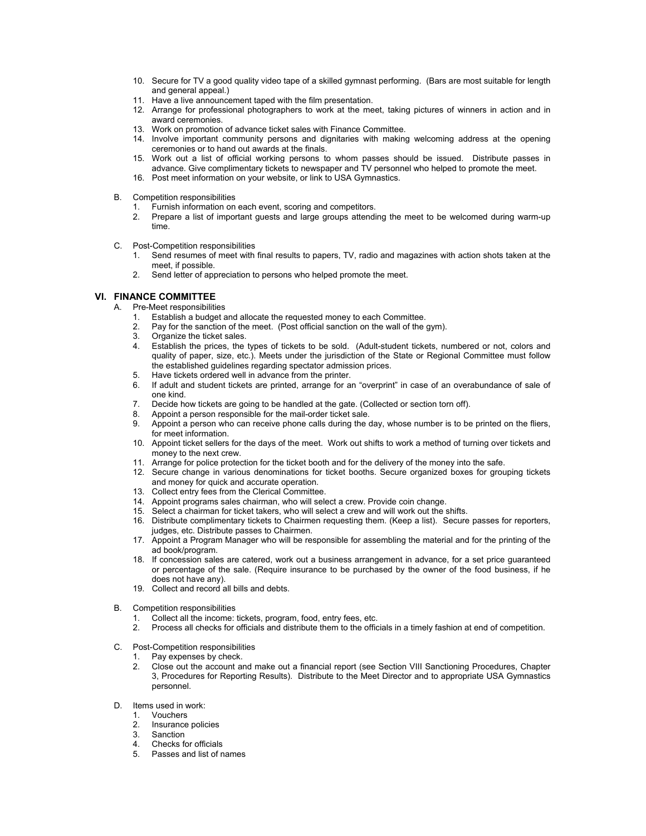- 10. Secure for TV a good quality video tape of a skilled gymnast performing. (Bars are most suitable for length and general appeal.)
- 11. Have a live announcement taped with the film presentation.
- 12. Arrange for professional photographers to work at the meet, taking pictures of winners in action and in award ceremonies.
- 13. Work on promotion of advance ticket sales with Finance Committee.
- 14. Involve important community persons and dignitaries with making welcoming address at the opening ceremonies or to hand out awards at the finals.
- 15. Work out a list of official working persons to whom passes should be issued. Distribute passes in advance. Give complimentary tickets to newspaper and TV personnel who helped to promote the meet.
- 16. Post meet information on your website, or link to USA Gymnastics.
- B. Competition responsibilities
	- 1. Furnish information on each event, scoring and competitors.
	- 2. Prepare a list of important guests and large groups attending the meet to be welcomed during warm-up time.
- C. Post-Competition responsibilities
	- 1. Send resumes of meet with final results to papers, TV, radio and magazines with action shots taken at the meet, if possible.
	- 2. Send letter of appreciation to persons who helped promote the meet.

### **VI. FINANCE COMMITTEE**

- A. Pre-Meet responsibilities
	- 1. Establish a budget and allocate the requested money to each Committee.<br>2. Pay for the sanction of the meet. (Post official sanction on the wall of the i
	- Pay for the sanction of the meet. (Post official sanction on the wall of the gym).
	- 3. Organize the ticket sales.
	- 4. Establish the prices, the types of tickets to be sold. (Adult-student tickets, numbered or not, colors and quality of paper, size, etc.). Meets under the jurisdiction of the State or Regional Committee must follow the established guidelines regarding spectator admission prices.
	- 5. Have tickets ordered well in advance from the printer.
	- 6. If adult and student tickets are printed, arrange for an "overprint" in case of an overabundance of sale of one kind.
	- 7. Decide how tickets are going to be handled at the gate. (Collected or section torn off).
	- 8. Appoint a person responsible for the mail-order ticket sale.
	- 9. Appoint a person who can receive phone calls during the day, whose number is to be printed on the fliers, for meet information.
	- 10. Appoint ticket sellers for the days of the meet. Work out shifts to work a method of turning over tickets and money to the next crew.
	- 11. Arrange for police protection for the ticket booth and for the delivery of the money into the safe.
	- 12. Secure change in various denominations for ticket booths. Secure organized boxes for grouping tickets and money for quick and accurate operation.
	- 13. Collect entry fees from the Clerical Committee.
	- 14. Appoint programs sales chairman, who will select a crew. Provide coin change.
	- 15. Select a chairman for ticket takers, who will select a crew and will work out the shifts.
	- 16. Distribute complimentary tickets to Chairmen requesting them. (Keep a list). Secure passes for reporters, judges, etc. Distribute passes to Chairmen.
	- 17. Appoint a Program Manager who will be responsible for assembling the material and for the printing of the ad book/program.
	- 18. If concession sales are catered, work out a business arrangement in advance, for a set price guaranteed or percentage of the sale. (Require insurance to be purchased by the owner of the food business, if he does not have any).
	- 19. Collect and record all bills and debts.
- B. Competition responsibilities
	- 1. Collect all the income: tickets, program, food, entry fees, etc.
	- 2. Process all checks for officials and distribute them to the officials in a timely fashion at end of competition.
- C. Post-Competition responsibilities
	- 1. Pay expenses by check.
	- 2. Close out the account and make out a financial report (see Section VIII Sanctioning Procedures, Chapter 3, Procedures for Reporting Results). Distribute to the Meet Director and to appropriate USA Gymnastics personnel.
- D. Items used in work:<br>1. Vouchers
	- **Vouchers**
	- 2. Insurance policies
	- 2. Insurance<br>3. Sanction
	- 4. Checks for officials
	- 5. Passes and list of names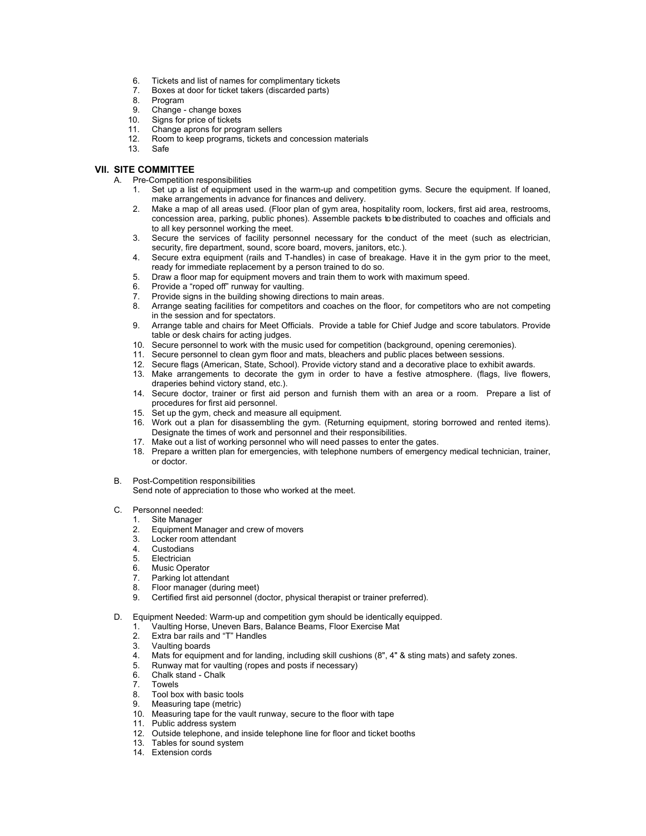- 6. Tickets and list of names for complimentary tickets
- 7. Boxes at door for ticket takers (discarded parts)
- Program
- 9. Change change boxes
- 
- 10. Signs for price of tickets<br>11. Change aprons for progr<br>12. Room to keep programs, Change aprons for program sellers
- Room to keep programs, tickets and concession materials
- 13. Safe

### **VII. SITE COMMITTEE**

- A. Pre-Competition responsibilities
	- 1. Set up a list of equipment used in the warm-up and competition gyms. Secure the equipment. If loaned, make arrangements in advance for finances and delivery.
	- 2. Make a map of all areas used. (Floor plan of gym area, hospitality room, lockers, first aid area, restrooms, concession area, parking, public phones). Assemble packets to be distributed to coaches and officials and to all key personnel working the meet.
	- 3. Secure the services of facility personnel necessary for the conduct of the meet (such as electrician, security, fire department, sound, score board, movers, janitors, etc.).
	- 4. Secure extra equipment (rails and T-handles) in case of breakage. Have it in the gym prior to the meet, ready for immediate replacement by a person trained to do so.
	- 5. Draw a floor map for equipment movers and train them to work with maximum speed.
	-
	- 6. Provide a "roped off" runway for vaulting.<br>7. Provide signs in the building showing dire<br>8. Arrange seating facilities for competitors Provide signs in the building showing directions to main areas.
	- 8. Arrange seating facilities for competitors and coaches on the floor, for competitors who are not competing in the session and for spectators.
	- 9. Arrange table and chairs for Meet Officials. Provide a table for Chief Judge and score tabulators. Provide table or desk chairs for acting judges.
	- 10. Secure personnel to work with the music used for competition (background, opening ceremonies).
	- 11. Secure personnel to clean gym floor and mats, bleachers and public places between sessions.
	- 12. Secure flags (American, State, School). Provide victory stand and a decorative place to exhibit awards.
	- 13. Make arrangements to decorate the gym in order to have a festive atmosphere. (flags, live flowers, draperies behind victory stand, etc.).
	- 14. Secure doctor, trainer or first aid person and furnish them with an area or a room. Prepare a list of procedures for first aid personnel.
	- 15. Set up the gym, check and measure all equipment.
	- 16. Work out a plan for disassembling the gym. (Returning equipment, storing borrowed and rented items). Designate the times of work and personnel and their responsibilities.
	- 17. Make out a list of working personnel who will need passes to enter the gates.
	- 18. Prepare a written plan for emergencies, with telephone numbers of emergency medical technician, trainer, or doctor.
- B. Post-Competition responsibilities

Send note of appreciation to those who worked at the meet.

## C. Personnel needed:<br>1. Site Manager

- 1. Site Manager<br>2. Foujnment Ma
- 2. Equipment Manager and crew of movers
- Locker room attendant
- 4. Custodians<br>5. Electrician
- **Electrician**
- 6. Music Operator
- 7. Parking lot attendant
- 8. Floor manager (during meet)<br>9. Certified first aid nersonnel (c
- 9. Certified first aid personnel (doctor, physical therapist or trainer preferred).
- D. Equipment Needed: Warm-up and competition gym should be identically equipped.<br>1. Vaulting Horse, Uneven Bars, Balance Beams, Floor Exercise Mat
	- 1. Vaulting Horse, Uneven Bars, Balance Beams, Floor Exercise Mat.<br>2. Extra bar rails and "T" Handles
	- Extra bar rails and "T" Handles
	- 3. Vaulting boards<br>4. Mats for equipm
	- Mats for equipment and for landing, including skill cushions (8", 4" & sting mats) and safety zones.
	- 5. Runway mat for vaulting (ropes and posts if necessary)
	- 6. Chalk stand Chalk
	- 7. Towels
	- 8. Tool box with basic tools
	- 9. Measuring tape (metric)
	- 10. Measuring tape for the vault runway, secure to the floor with tape
	- 11. Public address system
	- 12. Outside telephone, and inside telephone line for floor and ticket booths
	- 13. Tables for sound system
	- 14. Extension cords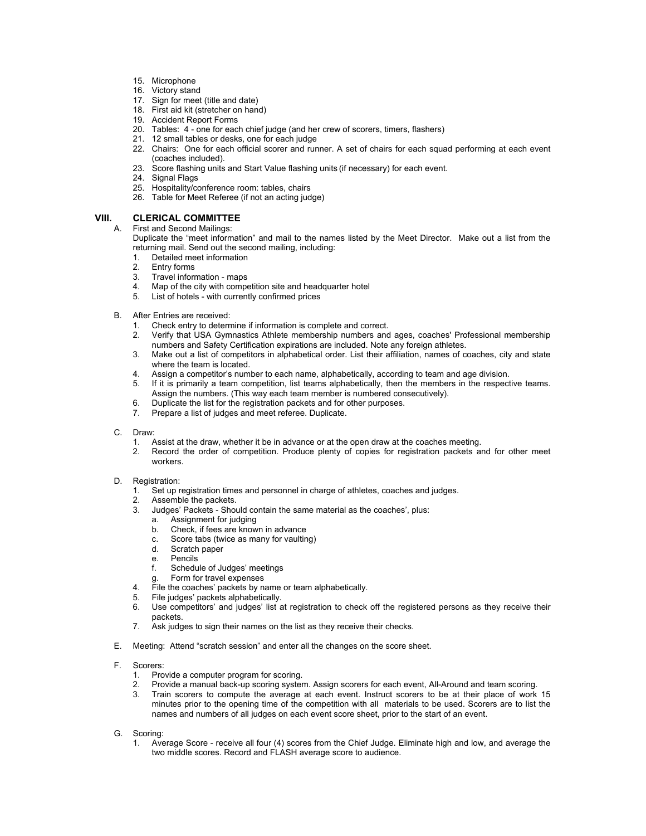- 15. Microphone
- 16. Victory stand
- 17. Sign for meet (title and date)
- 18. First aid kit (stretcher on hand)
- 19. Accident Report Forms
- 20. Tables: 4 one for each chief judge (and her crew of scorers, timers, flashers)
- 21. 12 small tables or desks, one for each judge
- 22. Chairs: One for each official scorer and runner. A set of chairs for each squad performing at each event (coaches included).
- 23. Score flashing units and Start Value flashing units (if necessary) for each event.
	- 24. Signal Flags
	- 25. Hospitality/conference room: tables, chairs
	- 26. Table for Meet Referee (if not an acting judge)

# **VIII. CLERICAL COMMITTEE**<br>A. First and Second Mailings:

First and Second Mailings:

Duplicate the "meet information" and mail to the names listed by the Meet Director. Make out a list from the returning mail. Send out the second mailing, including:

- 1. Detailed meet information<br>2. Entry forms
- 2. Entry forms<br>3. Travel inform
- Travel information maps
- 4. Map of the city with competition site and headquarter hotel<br>5. List of hotels with currently confirmed prices
- List of hotels with currently confirmed prices
- B. After Entries are received:
	- 1. Check entry to determine if information is complete and correct.<br>2. Verify that USA Gymnastics Athlete membership numbers and
	- 2. Verify that USA Gymnastics Athlete membership numbers and ages, coaches' Professional membership numbers and Safety Certification expirations are included. Note any foreign athletes.
	- 3. Make out a list of competitors in alphabetical order. List their affiliation, names of coaches, city and state where the team is located.
	- 4. Assign a competitor's number to each name, alphabetically, according to team and age division.<br>5. If it is primarily a team competition, list teams alphabetically, then the members in the respect
	- If it is primarily a team competition, list teams alphabetically, then the members in the respective teams. Assign the numbers. (This way each team member is numbered consecutively).
	- 6. Duplicate the list for the registration packets and for other purposes.<br>7. Prepare a list of judges and meet referee. Duplicate
	- Prepare a list of judges and meet referee. Duplicate.
- C. Draw:
	- 1. Assist at the draw, whether it be in advance or at the open draw at the coaches meeting.<br>2. Record the order of competition. Produce plenty of copies for registration packets a
	- Record the order of competition. Produce plenty of copies for registration packets and for other meet workers.

# D. Registration:<br>1. Set up r<br>2. Assemb

- 1. Set up registration times and personnel in charge of athletes, coaches and judges.
- Assemble the packets.
- 3. Judges' Packets Should contain the same material as the coaches', plus:
	- Assignment for judging
	- b. Check, if fees are known in advance
	- c. Score tabs (twice as many for vaulting)
	- d. Scratch paper
	- e. Pencils
	- f. Schedule of Judges' meetings
	- Form for travel expenses
- 4. File the coaches' packets by name or team alphabetically.<br>5. File judges' packets alphabetically.
- 5. File judges' packets alphabetically.
- 6. Use competitors' and judges' list at registration to check off the registered persons as they receive their packets.
- 7. Ask judges to sign their names on the list as they receive their checks.
- E. Meeting: Attend "scratch session" and enter all the changes on the score sheet.
- F. Scorers:
	- Provide a computer program for scoring.
	- 2. Provide a manual back-up scoring system. Assign scorers for each event, All-Around and team scoring.
	- 3. Train scorers to compute the average at each event. Instruct scorers to be at their place of work 15 minutes prior to the opening time of the competition with all materials to be used. Scorers are to list the names and numbers of all judges on each event score sheet, prior to the start of an event.
- G. Scoring:
	- 1. Average Score receive all four (4) scores from the Chief Judge. Eliminate high and low, and average the two middle scores. Record and FLASH average score to audience.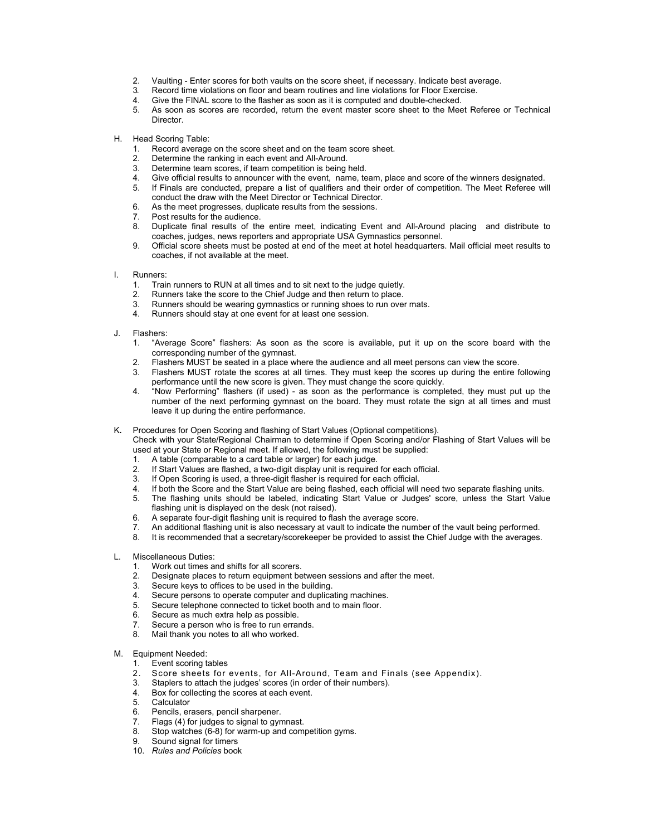- 2. Vaulting Enter scores for both vaults on the score sheet, if necessary. Indicate best average.
- 3. Record time violations on floor and beam routines and line violations for Floor Exercise.<br>4. Give the FINAL score to the flasher as soon as it is computed and double-checked.
- 4. Give the FINAL score to the flasher as soon as it is computed and double-checked.<br>5. As soon as scores are recorded, return the event master score sheet to the Mee
- As soon as scores are recorded, return the event master score sheet to the Meet Referee or Technical Director.
- H. Head Scoring Table:
	- 1. Record average on the score sheet and on the team score sheet.
	- 2. Determine the ranking in each event and All-Around.<br>3. Determine team scores, if team competition is being
	- Determine team scores, if team competition is being held.
	- 4. Give official results to announcer with the event, name, team, place and score of the winners designated.<br>5. If Finals are conducted, prepare a list of qualifiers and their order of competition. The Meet Referee wi
	- If Finals are conducted, prepare a list of qualifiers and their order of competition. The Meet Referee will conduct the draw with the Meet Director or Technical Director.
	- 6. As the meet progresses, duplicate results from the sessions.
	- 7. Post results for the audience.
	- 8. Duplicate final results of the entire meet, indicating Event and All-Around placing and distribute to coaches, judges, news reporters and appropriate USA Gymnastics personnel.
	- 9. Official score sheets must be posted at end of the meet at hotel headquarters. Mail official meet results to coaches, if not available at the meet.
- I. Runners:
	- Train runners to RUN at all times and to sit next to the judge quietly.
	- 2. Runners take the score to the Chief Judge and then return to place.
	- 3. Runners should be wearing gymnastics or running shoes to run over mats.<br>4. Runners should stay at one event for at least one session
	- Runners should stay at one event for at least one session.
- J. Flashers:
	- 1. "Average Score" flashers: As soon as the score is available, put it up on the score board with the corresponding number of the gymnast.
	- 2. Flashers MUST be seated in a place where the audience and all meet persons can view the score.
	- 3. Flashers MUST rotate the scores at all times. They must keep the scores up during the entire following performance until the new score is given. They must change the score quickly.
	- 4. "Now Performing" flashers (if used) as soon as the performance is completed, they must put up the number of the next performing gymnast on the board. They must rotate the sign at all times and must leave it up during the entire performance.
- K*.* Procedures for Open Scoring and flashing of Start Values (Optional competitions).

Check with your State/Regional Chairman to determine if Open Scoring and/or Flashing of Start Values will be used at your State or Regional meet. If allowed, the following must be supplied:

- 1. A table (comparable to a card table or larger) for each judge.
- If Start Values are flashed, a two-digit display unit is required for each official.
- 3. If Open Scoring is used, a three-digit flasher is required for each official.
- 
- 4. If both the Score and the Start Value are being flashed, each official will need two separate flashing units.<br>5. The flashing units should be labeled, indicating Start Value or Judges' score, unless the Start Value 5. The flashing units should be labeled, indicating Start Value or Judges' score, unless the Start Value flashing unit is displayed on the desk (not raised).
- 6. A separate four-digit flashing unit is required to flash the average score.
- 7. An additional flashing unit is also necessary at vault to indicate the number of the vault being performed.
- 8. It is recommended that a secretary/scorekeeper be provided to assist the Chief Judge with the averages.
- L. Miscellaneous Duties:
	- 1. Work out times and shifts for all scorers.
	- 2. Designate places to return equipment between sessions and after the meet.<br>3. Secure keys to offices to be used in the building.
	- Secure keys to offices to be used in the building.
	- 4. Secure persons to operate computer and duplicating machines.
	- 5. Secure telephone connected to ticket booth and to main floor.<br>6. Secure as much extra help as possible.
	- 6. Secure as much extra help as possible.<br>7. Secure a person who is free to run errar
	- Secure a person who is free to run errands.
	- 8. Mail thank you notes to all who worked.
- M. Equipment Needed:<br>1. Event scoring ta<br>2. Score sheets
	- Event scoring tables
	- Score sheets for events, for All-Around, Team and Finals (see Appendix).
	- 3. Staplers to attach the judges' scores (in order of their numbers).
	- 4. Box for collecting the scores at each event.
	- 5. Calculator
	- 6. Pencils, erasers, pencil sharpener.<br>7. Flags (4) for judges to signal to gyn
	- 7. Flags (4) for judges to signal to gymnast.<br>8. Stop watches (6-8) for warm-up and com
	- Stop watches (6-8) for warm-up and competition gyms.
	- 9. Sound signal for timers
	- 10. *Rules and Policies* book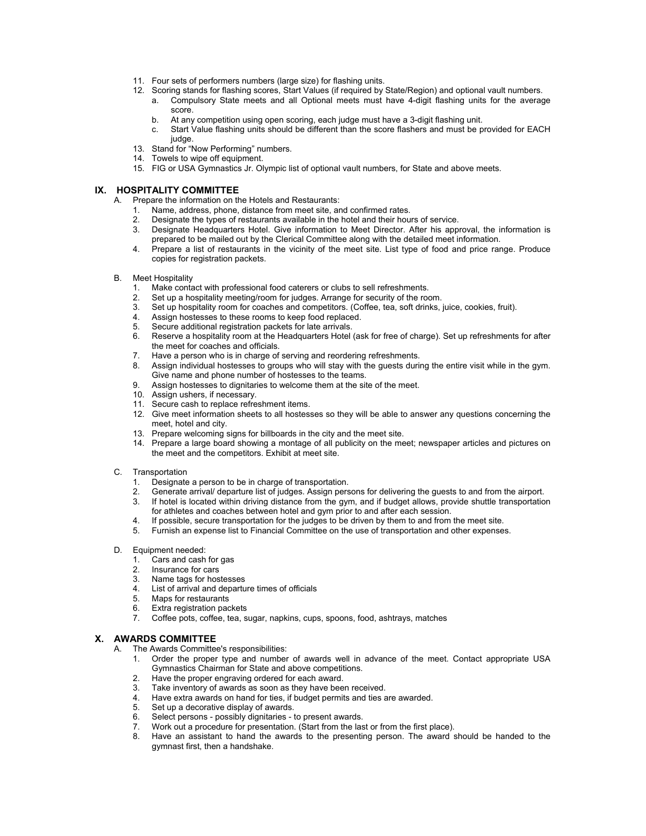- 11. Four sets of performers numbers (large size) for flashing units.
- 12. Scoring stands for flashing scores, Start Values (if required by State/Region) and optional vault numbers.
	- a. Compulsory State meets and all Optional meets must have 4-digit flashing units for the average score.
	- b. At any competition using open scoring, each judge must have a 3-digit flashing unit.
	- c. Start Value flashing units should be different than the score flashers and must be provided for EACH judge.
- 13. Stand for "Now Performing" numbers.
- 14. Towels to wipe off equipment.
- 15. FIG or USA Gymnastics Jr. Olympic list of optional vault numbers, for State and above meets.

### **IX. HOSPITALITY COMMITTEE**

- A. Prepare the information on the Hotels and Restaurants:
	- 1. Name, address, phone, distance from meet site, and confirmed rates.
	- 2. Designate the types of restaurants available in the hotel and their hours of service.
	- 3. Designate Headquarters Hotel. Give information to Meet Director. After his approval, the information is prepared to be mailed out by the Clerical Committee along with the detailed meet information.
	- 4. Prepare a list of restaurants in the vicinity of the meet site. List type of food and price range. Produce copies for registration packets.
- B. Meet Hospitality<br>1. Make conta
	- 1. Make contact with professional food caterers or clubs to sell refreshments.
	- 2. Set up a hospitality meeting/room for judges. Arrange for security of the room.<br>3. Set up hospitality room for coaches and competitors. (Coffee, tea, soft drinks,
	- Set up hospitality room for coaches and competitors. (Coffee, tea, soft drinks, juice, cookies, fruit).
	- 4. Assign hostesses to these rooms to keep food replaced.<br>5. Secure additional registration packets for late arrivals
	- Secure additional registration packets for late arrivals.
	- 6. Reserve a hospitality room at the Headquarters Hotel (ask for free of charge). Set up refreshments for after the meet for coaches and officials.
	- 7. Have a person who is in charge of serving and reordering refreshments.
	- 8. Assign individual hostesses to groups who will stay with the guests during the entire visit while in the gym. Give name and phone number of hostesses to the teams.
	- 9. Assign hostesses to dignitaries to welcome them at the site of the meet.
	- 10. Assign ushers, if necessary.
	- 11. Secure cash to replace refreshment items.
	- 12. Give meet information sheets to all hostesses so they will be able to answer any questions concerning the meet, hotel and city.
	- 13. Prepare welcoming signs for billboards in the city and the meet site.
	- 14. Prepare a large board showing a montage of all publicity on the meet; newspaper articles and pictures on the meet and the competitors. Exhibit at meet site.
- C. Transportation
	-
	- 1. Designate a person to be in charge of transportation.<br>2. Generate arrival/ departure list of judges. Assign pers 2. Generate arrival/ departure list of judges. Assign persons for delivering the guests to and from the airport.
	- 3. If hotel is located within driving distance from the gym, and if budget allows, provide shuttle transportation for athletes and coaches between hotel and gym prior to and after each session.
	- 4. If possible, secure transportation for the judges to be driven by them to and from the meet site.
	- 5. Furnish an expense list to Financial Committee on the use of transportation and other expenses.
- D. Equipment needed:
	- 1. Cars and cash for gas<br>2. Insurance for cars
	- 2. Insurance for cars<br>3. Name tags for host
	- Name tags for hostesses
	- 4. List of arrival and departure times of officials
	- 5. Maps for restaurants
	- 6. Extra registration packets<br>7. Coffee pots. coffee teas
	- 7. Coffee pots, coffee, tea, sugar, napkins, cups, spoons, food, ashtrays, matches

#### **X. AWARDS COMMITTEE**

- A. The Awards Committee's responsibilities:
	- 1. Order the proper type and number of awards well in advance of the meet. Contact appropriate USA Gymnastics Chairman for State and above competitions.
	- 2. Have the proper engraving ordered for each award.
	- 3. Take inventory of awards as soon as they have been received.
	- 4. Have extra awards on hand for ties, if budget permits and ties are awarded.
	- 5. Set up a decorative display of awards.<br>6. Select persons possibly dignitaries t
	- Select persons possibly dignitaries to present awards.
	- 7. Work out a procedure for presentation. (Start from the last or from the first place).<br>8. Have an assistant to hand the awards to the presenting person. The award s
	- Have an assistant to hand the awards to the presenting person. The award should be handed to the gymnast first, then a handshake.